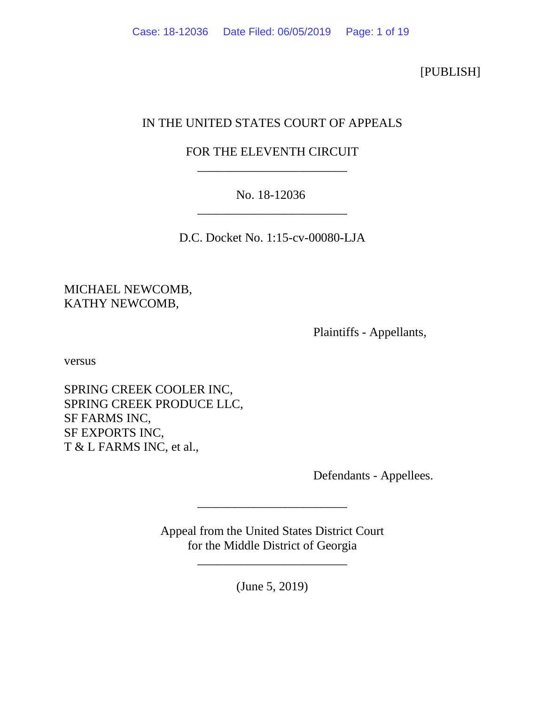[PUBLISH]

# IN THE UNITED STATES COURT OF APPEALS

# FOR THE ELEVENTH CIRCUIT \_\_\_\_\_\_\_\_\_\_\_\_\_\_\_\_\_\_\_\_\_\_\_\_

# No. 18-12036 \_\_\_\_\_\_\_\_\_\_\_\_\_\_\_\_\_\_\_\_\_\_\_\_

D.C. Docket No. 1:15-cv-00080-LJA

MICHAEL NEWCOMB, KATHY NEWCOMB,

Plaintiffs - Appellants,

versus

SPRING CREEK COOLER INC, SPRING CREEK PRODUCE LLC, SF FARMS INC, SF EXPORTS INC, T & L FARMS INC, et al.,

Defendants - Appellees.

Appeal from the United States District Court for the Middle District of Georgia

\_\_\_\_\_\_\_\_\_\_\_\_\_\_\_\_\_\_\_\_\_\_\_\_

(June 5, 2019)

\_\_\_\_\_\_\_\_\_\_\_\_\_\_\_\_\_\_\_\_\_\_\_\_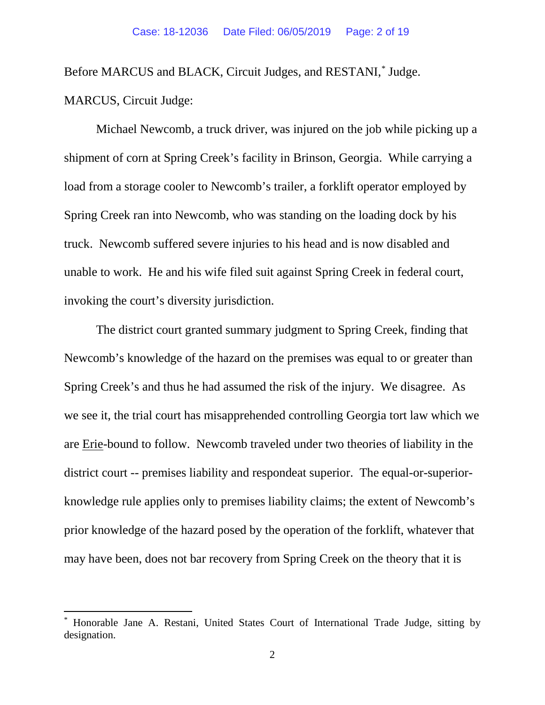Before MARCUS and BLACK, Circuit Judges, and RESTANI,[\\*](#page-1-0) Judge.

MARCUS, Circuit Judge:

Michael Newcomb, a truck driver, was injured on the job while picking up a shipment of corn at Spring Creek's facility in Brinson, Georgia. While carrying a load from a storage cooler to Newcomb's trailer, a forklift operator employed by Spring Creek ran into Newcomb, who was standing on the loading dock by his truck. Newcomb suffered severe injuries to his head and is now disabled and unable to work. He and his wife filed suit against Spring Creek in federal court, invoking the court's diversity jurisdiction.

The district court granted summary judgment to Spring Creek, finding that Newcomb's knowledge of the hazard on the premises was equal to or greater than Spring Creek's and thus he had assumed the risk of the injury. We disagree. As we see it, the trial court has misapprehended controlling Georgia tort law which we are Erie-bound to follow. Newcomb traveled under two theories of liability in the district court -- premises liability and respondeat superior. The equal-or-superiorknowledge rule applies only to premises liability claims; the extent of Newcomb's prior knowledge of the hazard posed by the operation of the forklift, whatever that may have been, does not bar recovery from Spring Creek on the theory that it is

<span id="page-1-0"></span> <sup>\*</sup> Honorable Jane A. Restani, United States Court of International Trade Judge, sitting by designation.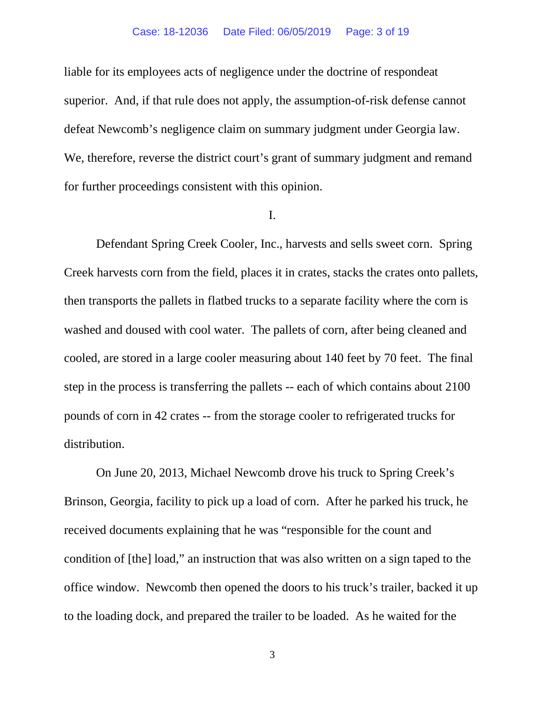#### Case: 18-12036 Date Filed: 06/05/2019 Page: 3 of 19

liable for its employees acts of negligence under the doctrine of respondeat superior. And, if that rule does not apply, the assumption-of-risk defense cannot defeat Newcomb's negligence claim on summary judgment under Georgia law. We, therefore, reverse the district court's grant of summary judgment and remand for further proceedings consistent with this opinion.

### I.

Defendant Spring Creek Cooler, Inc., harvests and sells sweet corn. Spring Creek harvests corn from the field, places it in crates, stacks the crates onto pallets, then transports the pallets in flatbed trucks to a separate facility where the corn is washed and doused with cool water. The pallets of corn, after being cleaned and cooled, are stored in a large cooler measuring about 140 feet by 70 feet. The final step in the process is transferring the pallets -- each of which contains about 2100 pounds of corn in 42 crates -- from the storage cooler to refrigerated trucks for distribution.

On June 20, 2013, Michael Newcomb drove his truck to Spring Creek's Brinson, Georgia, facility to pick up a load of corn. After he parked his truck, he received documents explaining that he was "responsible for the count and condition of [the] load," an instruction that was also written on a sign taped to the office window. Newcomb then opened the doors to his truck's trailer, backed it up to the loading dock, and prepared the trailer to be loaded. As he waited for the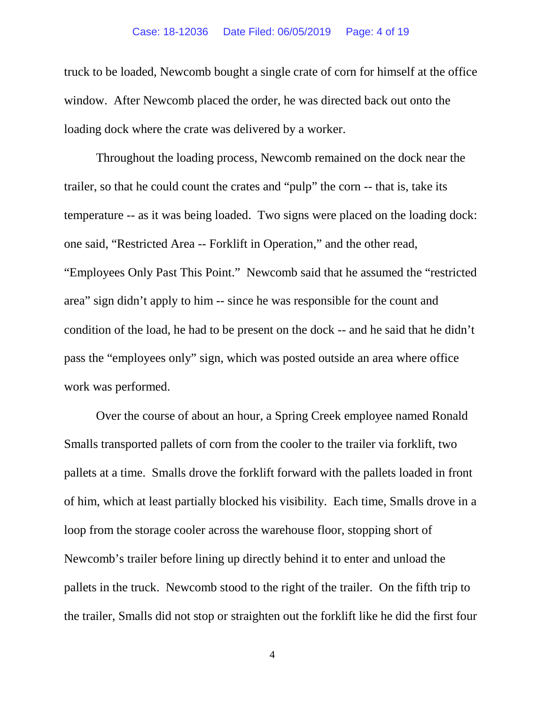#### Case: 18-12036 Date Filed: 06/05/2019 Page: 4 of 19

truck to be loaded, Newcomb bought a single crate of corn for himself at the office window. After Newcomb placed the order, he was directed back out onto the loading dock where the crate was delivered by a worker.

Throughout the loading process, Newcomb remained on the dock near the trailer, so that he could count the crates and "pulp" the corn -- that is, take its temperature -- as it was being loaded. Two signs were placed on the loading dock: one said, "Restricted Area -- Forklift in Operation," and the other read, "Employees Only Past This Point." Newcomb said that he assumed the "restricted area" sign didn't apply to him -- since he was responsible for the count and condition of the load, he had to be present on the dock -- and he said that he didn't pass the "employees only" sign, which was posted outside an area where office work was performed.

Over the course of about an hour, a Spring Creek employee named Ronald Smalls transported pallets of corn from the cooler to the trailer via forklift, two pallets at a time. Smalls drove the forklift forward with the pallets loaded in front of him, which at least partially blocked his visibility. Each time, Smalls drove in a loop from the storage cooler across the warehouse floor, stopping short of Newcomb's trailer before lining up directly behind it to enter and unload the pallets in the truck. Newcomb stood to the right of the trailer. On the fifth trip to the trailer, Smalls did not stop or straighten out the forklift like he did the first four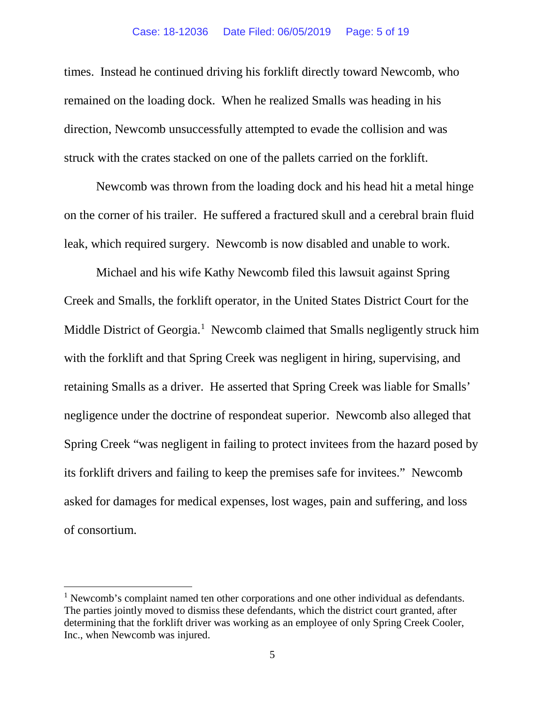times. Instead he continued driving his forklift directly toward Newcomb, who remained on the loading dock. When he realized Smalls was heading in his direction, Newcomb unsuccessfully attempted to evade the collision and was struck with the crates stacked on one of the pallets carried on the forklift.

Newcomb was thrown from the loading dock and his head hit a metal hinge on the corner of his trailer. He suffered a fractured skull and a cerebral brain fluid leak, which required surgery. Newcomb is now disabled and unable to work.

Michael and his wife Kathy Newcomb filed this lawsuit against Spring Creek and Smalls, the forklift operator, in the United States District Court for the Middle District of Georgia.<sup>[1](#page-4-0)</sup> Newcomb claimed that Smalls negligently struck him with the forklift and that Spring Creek was negligent in hiring, supervising, and retaining Smalls as a driver. He asserted that Spring Creek was liable for Smalls' negligence under the doctrine of respondeat superior. Newcomb also alleged that Spring Creek "was negligent in failing to protect invitees from the hazard posed by its forklift drivers and failing to keep the premises safe for invitees." Newcomb asked for damages for medical expenses, lost wages, pain and suffering, and loss of consortium.

<span id="page-4-0"></span> $<sup>1</sup>$  Newcomb's complaint named ten other corporations and one other individual as defendants.</sup> The parties jointly moved to dismiss these defendants, which the district court granted, after determining that the forklift driver was working as an employee of only Spring Creek Cooler, Inc., when Newcomb was injured.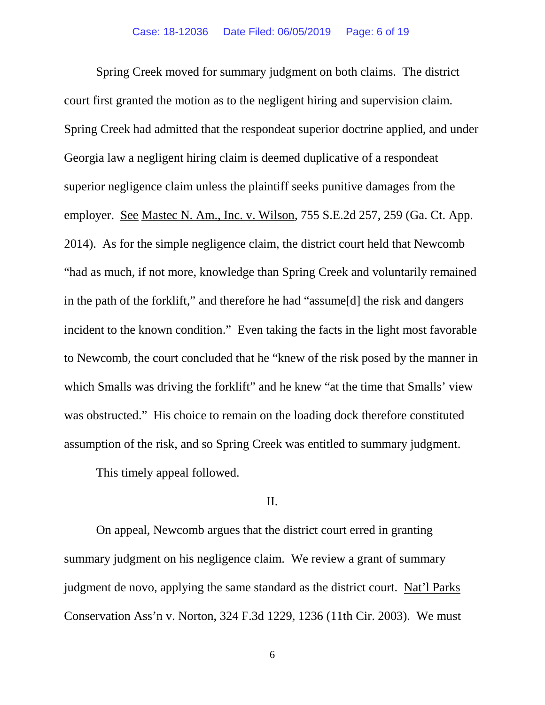Spring Creek moved for summary judgment on both claims. The district court first granted the motion as to the negligent hiring and supervision claim. Spring Creek had admitted that the respondeat superior doctrine applied, and under Georgia law a negligent hiring claim is deemed duplicative of a respondeat superior negligence claim unless the plaintiff seeks punitive damages from the employer. See Mastec N. Am., Inc. v. Wilson, 755 S.E.2d 257, 259 (Ga. Ct. App. 2014). As for the simple negligence claim, the district court held that Newcomb "had as much, if not more, knowledge than Spring Creek and voluntarily remained in the path of the forklift," and therefore he had "assume[d] the risk and dangers incident to the known condition." Even taking the facts in the light most favorable to Newcomb, the court concluded that he "knew of the risk posed by the manner in which Smalls was driving the forklift" and he knew "at the time that Smalls' view was obstructed." His choice to remain on the loading dock therefore constituted assumption of the risk, and so Spring Creek was entitled to summary judgment.

This timely appeal followed.

### II.

On appeal, Newcomb argues that the district court erred in granting summary judgment on his negligence claim. We review a grant of summary judgment de novo, applying the same standard as the district court. Nat'l Parks Conservation Ass'n v. Norton, 324 F.3d 1229, 1236 (11th Cir. 2003). We must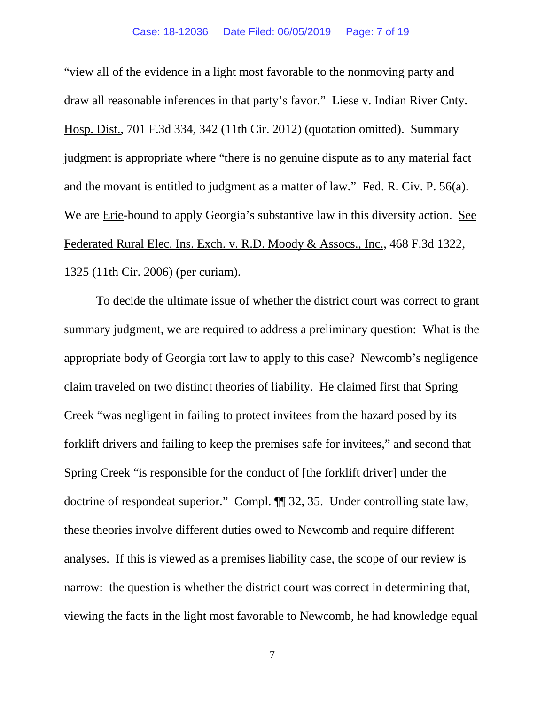"view all of the evidence in a light most favorable to the nonmoving party and draw all reasonable inferences in that party's favor." Liese v. Indian River Cnty. Hosp. Dist., 701 F.3d 334, 342 (11th Cir. 2012) (quotation omitted). Summary judgment is appropriate where "there is no genuine dispute as to any material fact and the movant is entitled to judgment as a matter of law." Fed. R. Civ. P. 56(a). We are Erie-bound to apply Georgia's substantive law in this diversity action. See Federated Rural Elec. Ins. Exch. v. R.D. Moody & Assocs., Inc., 468 F.3d 1322, 1325 (11th Cir. 2006) (per curiam).

To decide the ultimate issue of whether the district court was correct to grant summary judgment, we are required to address a preliminary question: What is the appropriate body of Georgia tort law to apply to this case? Newcomb's negligence claim traveled on two distinct theories of liability. He claimed first that Spring Creek "was negligent in failing to protect invitees from the hazard posed by its forklift drivers and failing to keep the premises safe for invitees," and second that Spring Creek "is responsible for the conduct of [the forklift driver] under the doctrine of respondeat superior." Compl. ¶¶ 32, 35. Under controlling state law, these theories involve different duties owed to Newcomb and require different analyses. If this is viewed as a premises liability case, the scope of our review is narrow: the question is whether the district court was correct in determining that, viewing the facts in the light most favorable to Newcomb, he had knowledge equal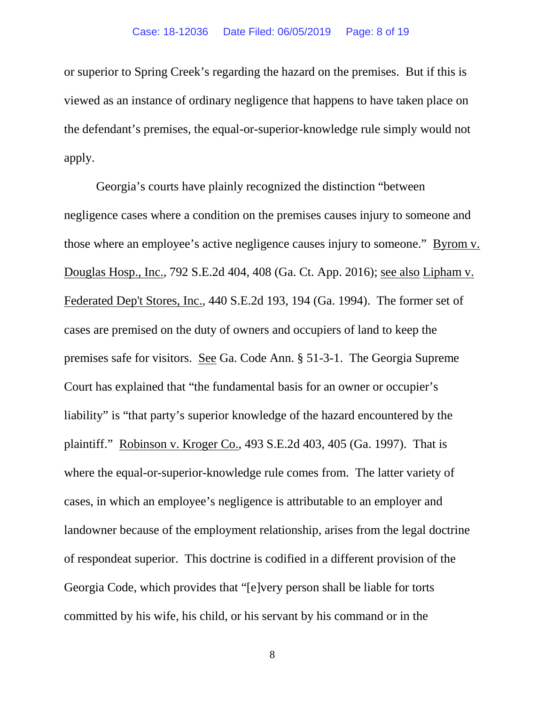or superior to Spring Creek's regarding the hazard on the premises. But if this is viewed as an instance of ordinary negligence that happens to have taken place on the defendant's premises, the equal-or-superior-knowledge rule simply would not apply.

Georgia's courts have plainly recognized the distinction "between negligence cases where a condition on the premises causes injury to someone and those where an employee's active negligence causes injury to someone." Byrom v. Douglas Hosp., Inc., 792 S.E.2d 404, 408 (Ga. Ct. App. 2016); see also Lipham v. Federated Dep't Stores, Inc., 440 S.E.2d 193, 194 (Ga. 1994). The former set of cases are premised on the duty of owners and occupiers of land to keep the premises safe for visitors. See Ga. Code Ann. § 51-3-1. The Georgia Supreme Court has explained that "the fundamental basis for an owner or occupier's liability" is "that party's superior knowledge of the hazard encountered by the plaintiff." Robinson v. Kroger Co., 493 S.E.2d 403, 405 (Ga. 1997). That is where the equal-or-superior-knowledge rule comes from. The latter variety of cases, in which an employee's negligence is attributable to an employer and landowner because of the employment relationship, arises from the legal doctrine of respondeat superior. This doctrine is codified in a different provision of the Georgia Code, which provides that "[e]very person shall be liable for torts committed by his wife, his child, or his servant by his command or in the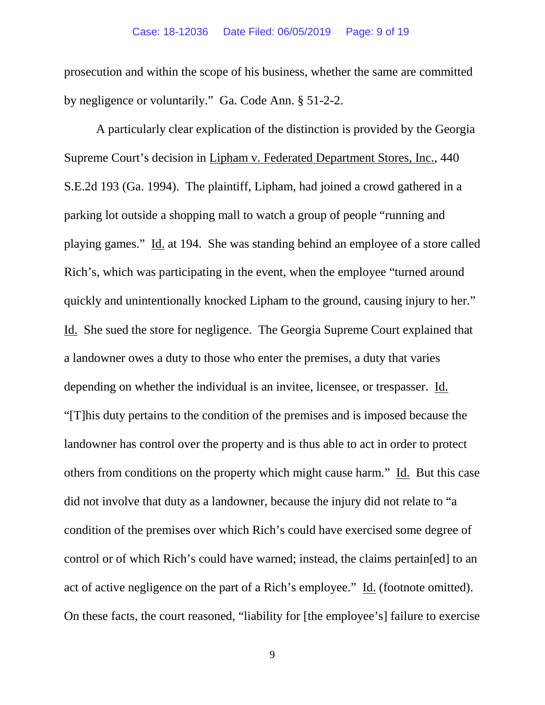### Case: 18-12036 Date Filed: 06/05/2019 Page: 9 of 19

prosecution and within the scope of his business, whether the same are committed by negligence or voluntarily." Ga. Code Ann. § 51-2-2.

A particularly clear explication of the distinction is provided by the Georgia Supreme Court's decision in Lipham v. Federated Department Stores, Inc., 440 S.E.2d 193 (Ga. 1994). The plaintiff, Lipham, had joined a crowd gathered in a parking lot outside a shopping mall to watch a group of people "running and playing games." Id. at 194. She was standing behind an employee of a store called Rich's, which was participating in the event, when the employee "turned around quickly and unintentionally knocked Lipham to the ground, causing injury to her." Id. She sued the store for negligence. The Georgia Supreme Court explained that a landowner owes a duty to those who enter the premises, a duty that varies depending on whether the individual is an invitee, licensee, or trespasser. Id. "[T]his duty pertains to the condition of the premises and is imposed because the landowner has control over the property and is thus able to act in order to protect others from conditions on the property which might cause harm." Id. But this case did not involve that duty as a landowner, because the injury did not relate to "a condition of the premises over which Rich's could have exercised some degree of control or of which Rich's could have warned; instead, the claims pertain[ed] to an act of active negligence on the part of a Rich's employee." Id. (footnote omitted). On these facts, the court reasoned, "liability for [the employee's] failure to exercise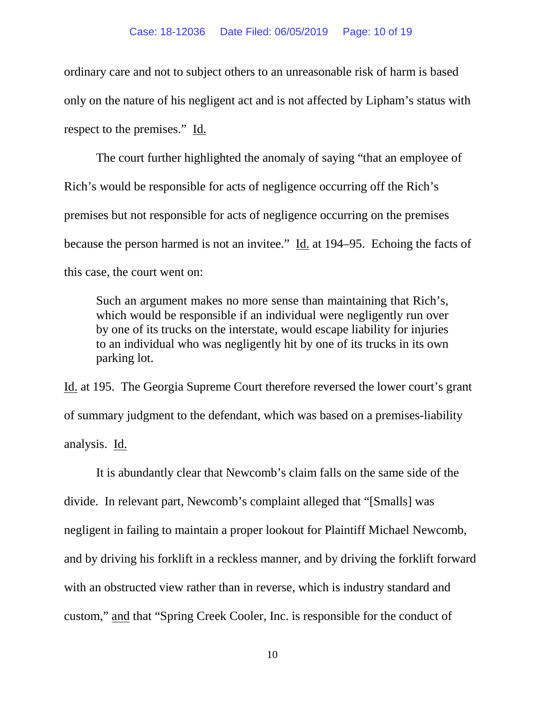ordinary care and not to subject others to an unreasonable risk of harm is based only on the nature of his negligent act and is not affected by Lipham's status with respect to the premises." Id.

The court further highlighted the anomaly of saying "that an employee of Rich's would be responsible for acts of negligence occurring off the Rich's premises but not responsible for acts of negligence occurring on the premises because the person harmed is not an invitee." Id. at 194–95. Echoing the facts of this case, the court went on:

Such an argument makes no more sense than maintaining that Rich's, which would be responsible if an individual were negligently run over by one of its trucks on the interstate, would escape liability for injuries to an individual who was negligently hit by one of its trucks in its own parking lot.

Id. at 195. The Georgia Supreme Court therefore reversed the lower court's grant of summary judgment to the defendant, which was based on a premises-liability analysis. Id.

It is abundantly clear that Newcomb's claim falls on the same side of the divide. In relevant part, Newcomb's complaint alleged that "[Smalls] was negligent in failing to maintain a proper lookout for Plaintiff Michael Newcomb, and by driving his forklift in a reckless manner, and by driving the forklift forward with an obstructed view rather than in reverse, which is industry standard and custom," and that "Spring Creek Cooler, Inc. is responsible for the conduct of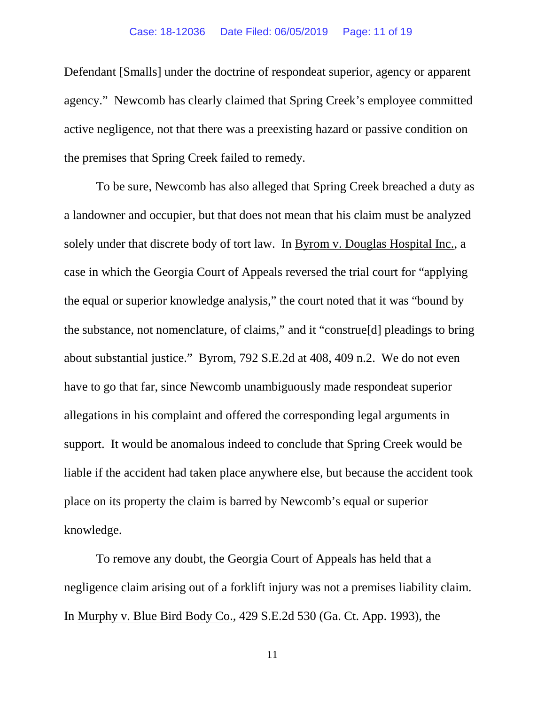Defendant [Smalls] under the doctrine of respondeat superior, agency or apparent agency." Newcomb has clearly claimed that Spring Creek's employee committed active negligence, not that there was a preexisting hazard or passive condition on the premises that Spring Creek failed to remedy.

To be sure, Newcomb has also alleged that Spring Creek breached a duty as a landowner and occupier, but that does not mean that his claim must be analyzed solely under that discrete body of tort law. In Byrom v. Douglas Hospital Inc., a case in which the Georgia Court of Appeals reversed the trial court for "applying the equal or superior knowledge analysis," the court noted that it was "bound by the substance, not nomenclature, of claims," and it "construe[d] pleadings to bring about substantial justice." Byrom, 792 S.E.2d at 408, 409 n.2. We do not even have to go that far, since Newcomb unambiguously made respondeat superior allegations in his complaint and offered the corresponding legal arguments in support. It would be anomalous indeed to conclude that Spring Creek would be liable if the accident had taken place anywhere else, but because the accident took place on its property the claim is barred by Newcomb's equal or superior knowledge.

To remove any doubt, the Georgia Court of Appeals has held that a negligence claim arising out of a forklift injury was not a premises liability claim. In Murphy v. Blue Bird Body Co., 429 S.E.2d 530 (Ga. Ct. App. 1993), the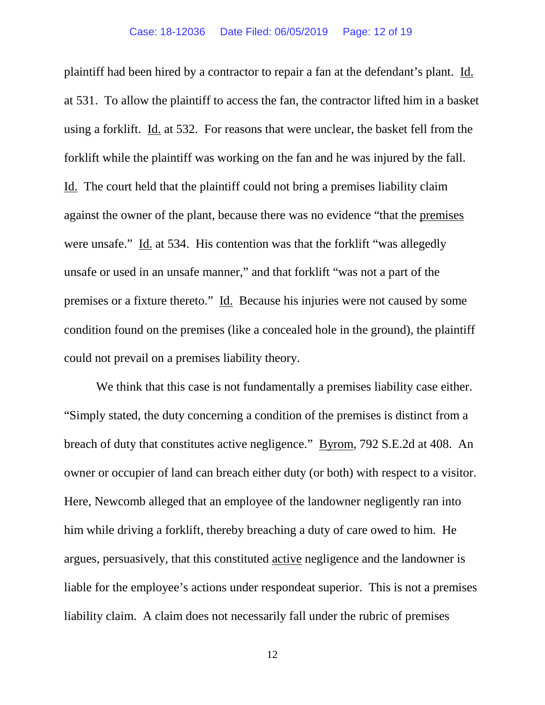plaintiff had been hired by a contractor to repair a fan at the defendant's plant. Id. at 531. To allow the plaintiff to access the fan, the contractor lifted him in a basket using a forklift. Id. at 532. For reasons that were unclear, the basket fell from the forklift while the plaintiff was working on the fan and he was injured by the fall. Id. The court held that the plaintiff could not bring a premises liability claim against the owner of the plant, because there was no evidence "that the premises were unsafe." Id. at 534. His contention was that the forklift "was allegedly unsafe or used in an unsafe manner," and that forklift "was not a part of the premises or a fixture thereto." Id. Because his injuries were not caused by some condition found on the premises (like a concealed hole in the ground), the plaintiff could not prevail on a premises liability theory.

We think that this case is not fundamentally a premises liability case either. "Simply stated, the duty concerning a condition of the premises is distinct from a breach of duty that constitutes active negligence." Byrom, 792 S.E.2d at 408. An owner or occupier of land can breach either duty (or both) with respect to a visitor. Here, Newcomb alleged that an employee of the landowner negligently ran into him while driving a forklift, thereby breaching a duty of care owed to him. He argues, persuasively, that this constituted active negligence and the landowner is liable for the employee's actions under respondeat superior. This is not a premises liability claim. A claim does not necessarily fall under the rubric of premises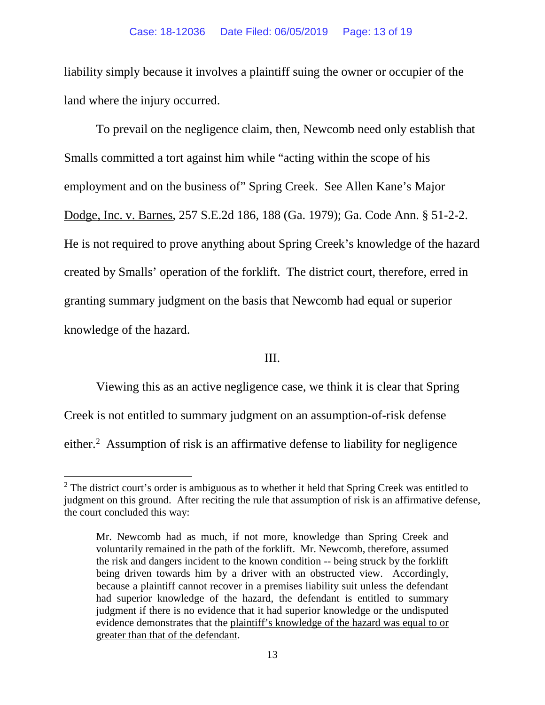liability simply because it involves a plaintiff suing the owner or occupier of the land where the injury occurred.

To prevail on the negligence claim, then, Newcomb need only establish that Smalls committed a tort against him while "acting within the scope of his employment and on the business of" Spring Creek. See Allen Kane's Major Dodge, Inc. v. Barnes, 257 S.E.2d 186, 188 (Ga. 1979); Ga. Code Ann. § 51-2-2. He is not required to prove anything about Spring Creek's knowledge of the hazard created by Smalls' operation of the forklift. The district court, therefore, erred in granting summary judgment on the basis that Newcomb had equal or superior knowledge of the hazard.

### III.

Viewing this as an active negligence case, we think it is clear that Spring Creek is not entitled to summary judgment on an assumption-of-risk defense either. [2](#page-12-0) Assumption of risk is an affirmative defense to liability for negligence

<span id="page-12-0"></span> $2$  The district court's order is ambiguous as to whether it held that Spring Creek was entitled to judgment on this ground. After reciting the rule that assumption of risk is an affirmative defense, the court concluded this way:

Mr. Newcomb had as much, if not more, knowledge than Spring Creek and voluntarily remained in the path of the forklift. Mr. Newcomb, therefore, assumed the risk and dangers incident to the known condition -- being struck by the forklift being driven towards him by a driver with an obstructed view. Accordingly, because a plaintiff cannot recover in a premises liability suit unless the defendant had superior knowledge of the hazard, the defendant is entitled to summary judgment if there is no evidence that it had superior knowledge or the undisputed evidence demonstrates that the plaintiff's knowledge of the hazard was equal to or greater than that of the defendant.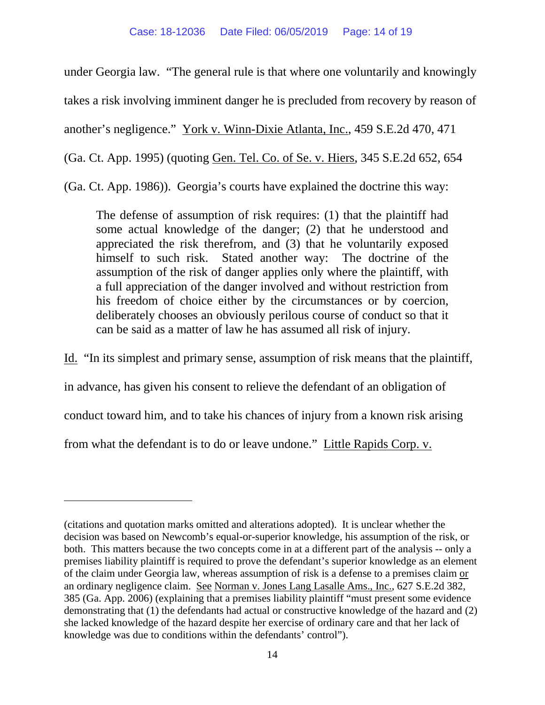under Georgia law. "The general rule is that where one voluntarily and knowingly takes a risk involving imminent danger he is precluded from recovery by reason of another's negligence." York v. Winn-Dixie Atlanta, Inc., 459 S.E.2d 470, 471 (Ga. Ct. App. 1995) (quoting Gen. Tel. Co. of Se. v. Hiers, 345 S.E.2d 652, 654 (Ga. Ct. App. 1986)). Georgia's courts have explained the doctrine this way:

The defense of assumption of risk requires: (1) that the plaintiff had some actual knowledge of the danger; (2) that he understood and appreciated the risk therefrom, and (3) that he voluntarily exposed himself to such risk. Stated another way: The doctrine of the assumption of the risk of danger applies only where the plaintiff, with a full appreciation of the danger involved and without restriction from his freedom of choice either by the circumstances or by coercion, deliberately chooses an obviously perilous course of conduct so that it can be said as a matter of law he has assumed all risk of injury.

Id. "In its simplest and primary sense, assumption of risk means that the plaintiff, in advance, has given his consent to relieve the defendant of an obligation of conduct toward him, and to take his chances of injury from a known risk arising from what the defendant is to do or leave undone." Little Rapids Corp. v.

 $\overline{a}$ 

<sup>(</sup>citations and quotation marks omitted and alterations adopted). It is unclear whether the decision was based on Newcomb's equal-or-superior knowledge, his assumption of the risk, or both. This matters because the two concepts come in at a different part of the analysis -- only a premises liability plaintiff is required to prove the defendant's superior knowledge as an element of the claim under Georgia law, whereas assumption of risk is a defense to a premises claim or an ordinary negligence claim. See Norman v. Jones Lang Lasalle Ams., Inc., 627 S.E.2d 382, 385 (Ga. App. 2006) (explaining that a premises liability plaintiff "must present some evidence demonstrating that (1) the defendants had actual or constructive knowledge of the hazard and (2) she lacked knowledge of the hazard despite her exercise of ordinary care and that her lack of knowledge was due to conditions within the defendants' control").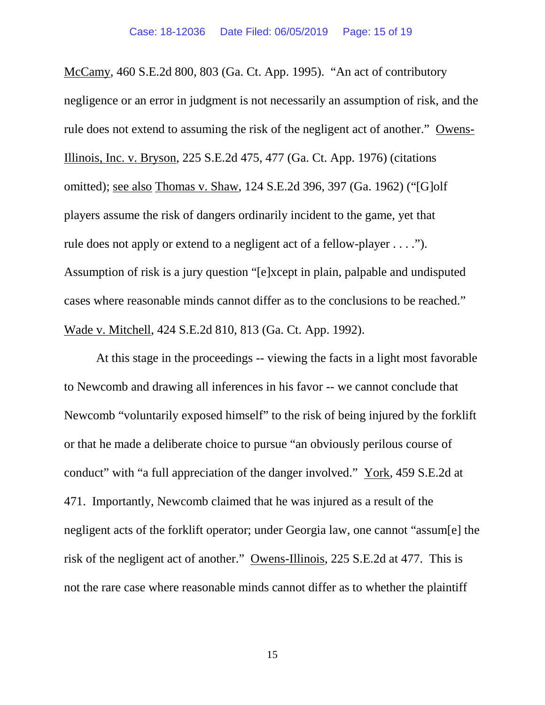McCamy, 460 S.E.2d 800, 803 (Ga. Ct. App. 1995). "An act of contributory negligence or an error in judgment is not necessarily an assumption of risk, and the rule does not extend to assuming the risk of the negligent act of another." Owens-Illinois, Inc. v. Bryson, 225 S.E.2d 475, 477 (Ga. Ct. App. 1976) (citations omitted); see also Thomas v. Shaw, 124 S.E.2d 396, 397 (Ga. 1962) ("[G]olf players assume the risk of dangers ordinarily incident to the game, yet that rule does not apply or extend to a negligent act of a fellow-player . . . ."). Assumption of risk is a jury question "[e]xcept in plain, palpable and undisputed cases where reasonable minds cannot differ as to the conclusions to be reached." Wade v. Mitchell, 424 S.E.2d 810, 813 (Ga. Ct. App. 1992).

At this stage in the proceedings -- viewing the facts in a light most favorable to Newcomb and drawing all inferences in his favor -- we cannot conclude that Newcomb "voluntarily exposed himself" to the risk of being injured by the forklift or that he made a deliberate choice to pursue "an obviously perilous course of conduct" with "a full appreciation of the danger involved." York, 459 S.E.2d at 471. Importantly, Newcomb claimed that he was injured as a result of the negligent acts of the forklift operator; under Georgia law, one cannot "assum[e] the risk of the negligent act of another." Owens-Illinois, 225 S.E.2d at 477. This is not the rare case where reasonable minds cannot differ as to whether the plaintiff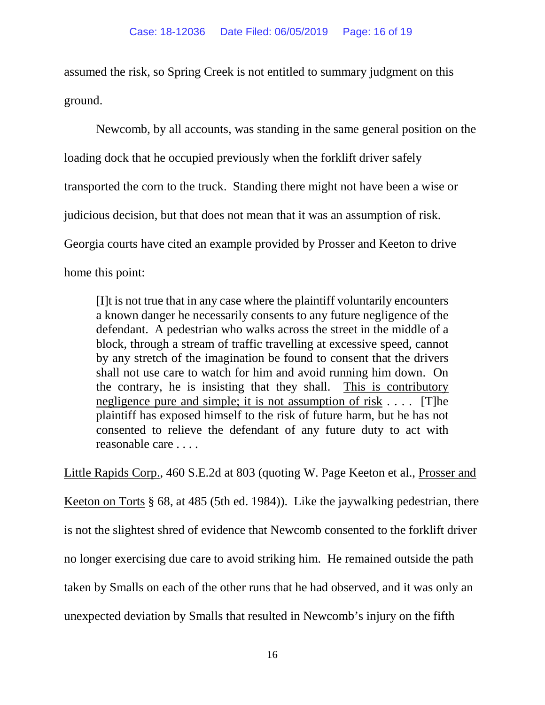assumed the risk, so Spring Creek is not entitled to summary judgment on this ground.

Newcomb, by all accounts, was standing in the same general position on the loading dock that he occupied previously when the forklift driver safely transported the corn to the truck. Standing there might not have been a wise or judicious decision, but that does not mean that it was an assumption of risk. Georgia courts have cited an example provided by Prosser and Keeton to drive home this point:

[I]t is not true that in any case where the plaintiff voluntarily encounters a known danger he necessarily consents to any future negligence of the defendant. A pedestrian who walks across the street in the middle of a block, through a stream of traffic travelling at excessive speed, cannot by any stretch of the imagination be found to consent that the drivers shall not use care to watch for him and avoid running him down. On the contrary, he is insisting that they shall. This is contributory negligence pure and simple; it is not assumption of risk . . . . [T]he plaintiff has exposed himself to the risk of future harm, but he has not consented to relieve the defendant of any future duty to act with reasonable care . . . .

Little Rapids Corp., 460 S.E.2d at 803 (quoting W. Page Keeton et al., Prosser and Keeton on Torts § 68, at 485 (5th ed. 1984)). Like the jaywalking pedestrian, there is not the slightest shred of evidence that Newcomb consented to the forklift driver no longer exercising due care to avoid striking him. He remained outside the path taken by Smalls on each of the other runs that he had observed, and it was only an unexpected deviation by Smalls that resulted in Newcomb's injury on the fifth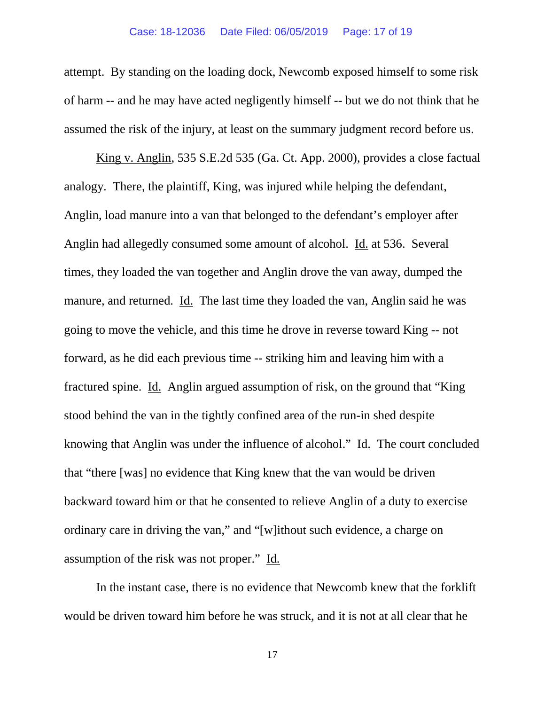attempt. By standing on the loading dock, Newcomb exposed himself to some risk of harm -- and he may have acted negligently himself -- but we do not think that he assumed the risk of the injury, at least on the summary judgment record before us.

King v. Anglin, 535 S.E.2d 535 (Ga. Ct. App. 2000), provides a close factual analogy. There, the plaintiff, King, was injured while helping the defendant, Anglin, load manure into a van that belonged to the defendant's employer after Anglin had allegedly consumed some amount of alcohol. Id. at 536. Several times, they loaded the van together and Anglin drove the van away, dumped the manure, and returned. Id. The last time they loaded the van, Anglin said he was going to move the vehicle, and this time he drove in reverse toward King -- not forward, as he did each previous time -- striking him and leaving him with a fractured spine. Id. Anglin argued assumption of risk, on the ground that "King stood behind the van in the tightly confined area of the run-in shed despite knowing that Anglin was under the influence of alcohol." Id. The court concluded that "there [was] no evidence that King knew that the van would be driven backward toward him or that he consented to relieve Anglin of a duty to exercise ordinary care in driving the van," and "[w]ithout such evidence, a charge on assumption of the risk was not proper." Id.

In the instant case, there is no evidence that Newcomb knew that the forklift would be driven toward him before he was struck, and it is not at all clear that he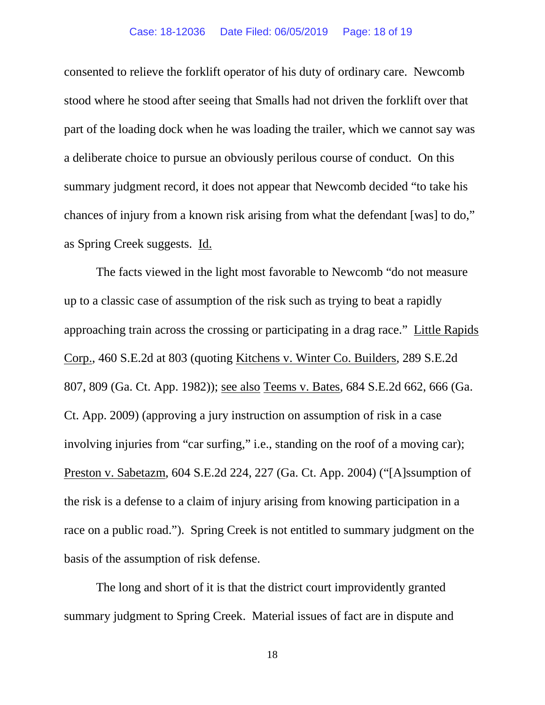consented to relieve the forklift operator of his duty of ordinary care. Newcomb stood where he stood after seeing that Smalls had not driven the forklift over that part of the loading dock when he was loading the trailer, which we cannot say was a deliberate choice to pursue an obviously perilous course of conduct. On this summary judgment record, it does not appear that Newcomb decided "to take his chances of injury from a known risk arising from what the defendant [was] to do," as Spring Creek suggests. Id.

The facts viewed in the light most favorable to Newcomb "do not measure up to a classic case of assumption of the risk such as trying to beat a rapidly approaching train across the crossing or participating in a drag race." Little Rapids Corp., 460 S.E.2d at 803 (quoting Kitchens v. Winter Co. Builders, 289 S.E.2d 807, 809 (Ga. Ct. App. 1982)); see also Teems v. Bates, 684 S.E.2d 662, 666 (Ga. Ct. App. 2009) (approving a jury instruction on assumption of risk in a case involving injuries from "car surfing," i.e., standing on the roof of a moving car); Preston v. Sabetazm, 604 S.E.2d 224, 227 (Ga. Ct. App. 2004) ("[A]ssumption of the risk is a defense to a claim of injury arising from knowing participation in a race on a public road."). Spring Creek is not entitled to summary judgment on the basis of the assumption of risk defense.

The long and short of it is that the district court improvidently granted summary judgment to Spring Creek. Material issues of fact are in dispute and